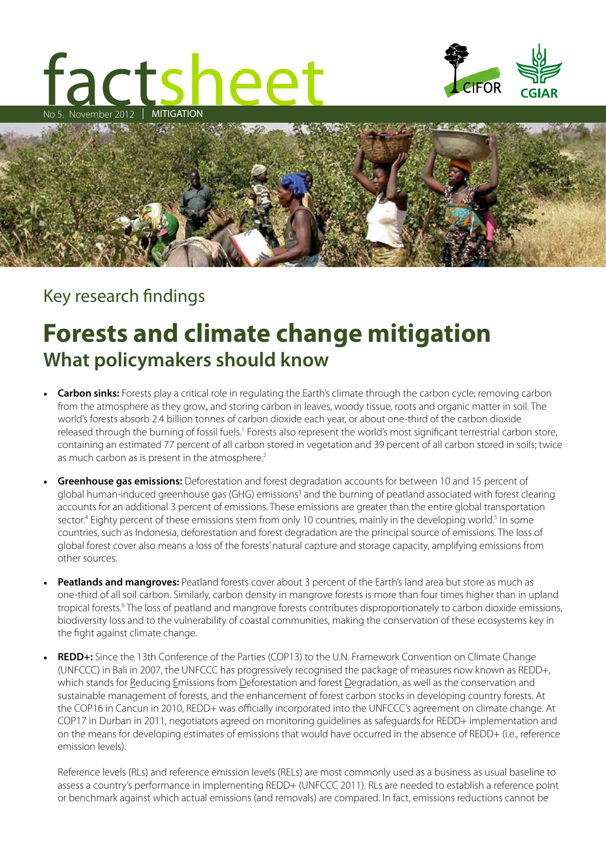# tacts MITIGATION sheet No 5. November 2012





# Key research findings

# **Forests and climate change mitigation What policymakers should know**

- **Carbon sinks:** Forests play a critical role in regulating the Earth's climate through the carbon cycle; removing carbon from the atmosphere as they grow, and storing carbon in leaves, woody tissue, roots and organic matter in soil. The world's forests absorb 2.4 billion tonnes of carbon dioxide each year, or about one-third of the carbon dioxide released through the burning of fossil fuels.<sup>1</sup> Forests also represent the world's most significant terrestrial carbon store, containing an estimated 77 percent of all carbon stored in vegetation and 39 percent of all carbon stored in soils; twice as much carbon as is present in the atmosphere.<sup>2</sup>
- **Greenhouse gas emissions:** Deforestation and forest degradation accounts for between 10 and 15 percent of global human-induced greenhouse gas (GHG) emissions<sup>3</sup> and the burning of peatland associated with forest clearing accounts for an additional 3 percent of emissions. These emissions are greater than the entire global transportation sector.<sup>4</sup> Eighty percent of these emissions stem from only 10 countries, mainly in the developing world.<sup>5</sup> In some countries, such as Indonesia, deforestation and forest degradation are the principal source of emissions. The loss of global forest cover also means a loss of the forests' natural capture and storage capacity, amplifying emissions from other sources.
- **Peatlands and mangroves:** Peatland forests cover about 3 percent of the Earth's land area but store as much as one-third of all soil carbon. Similarly, carbon density in mangrove forests is more than four times higher than in upland tropical forests.<sup>6</sup> The loss of peatland and mangrove forests contributes disproportionately to carbon dioxide emissions, biodiversity loss and to the vulnerability of coastal communities, making the conservation of these ecosystems key in the fight against climate change.
- **REDD+:** Since the 13th Conference of the Parties (COP13) to the U.N. Framework Convention on Climate Change (UNFCCC) in Bali in 2007, the UNFCCC has progressively recognised the package of measures now known as REDD+, which stands for Reducing Emissions from Deforestation and forest Degradation, as well as the conservation and sustainable management of forests, and the enhancement of forest carbon stocks in developing country forests. At the COP16 in Cancun in 2010, REDD+ was officially incorporated into the UNFCCC's agreement on climate change. At COP17 in Durban in 2011, negotiators agreed on monitoring guidelines as safeguards for REDD+ implementation and on the means for developing estimates of emissions that would have occurred in the absence of REDD+ (i.e., reference emission levels).

Reference levels (RLs) and reference emission levels (RELs) are most commonly used as a business as usual baseline to assess a country's performance in implementing REDD+ (UNFCCC 2011). RLs are needed to establish a reference point or benchmark against which actual emissions (and removals) are compared. In fact, emissions reductions cannot be